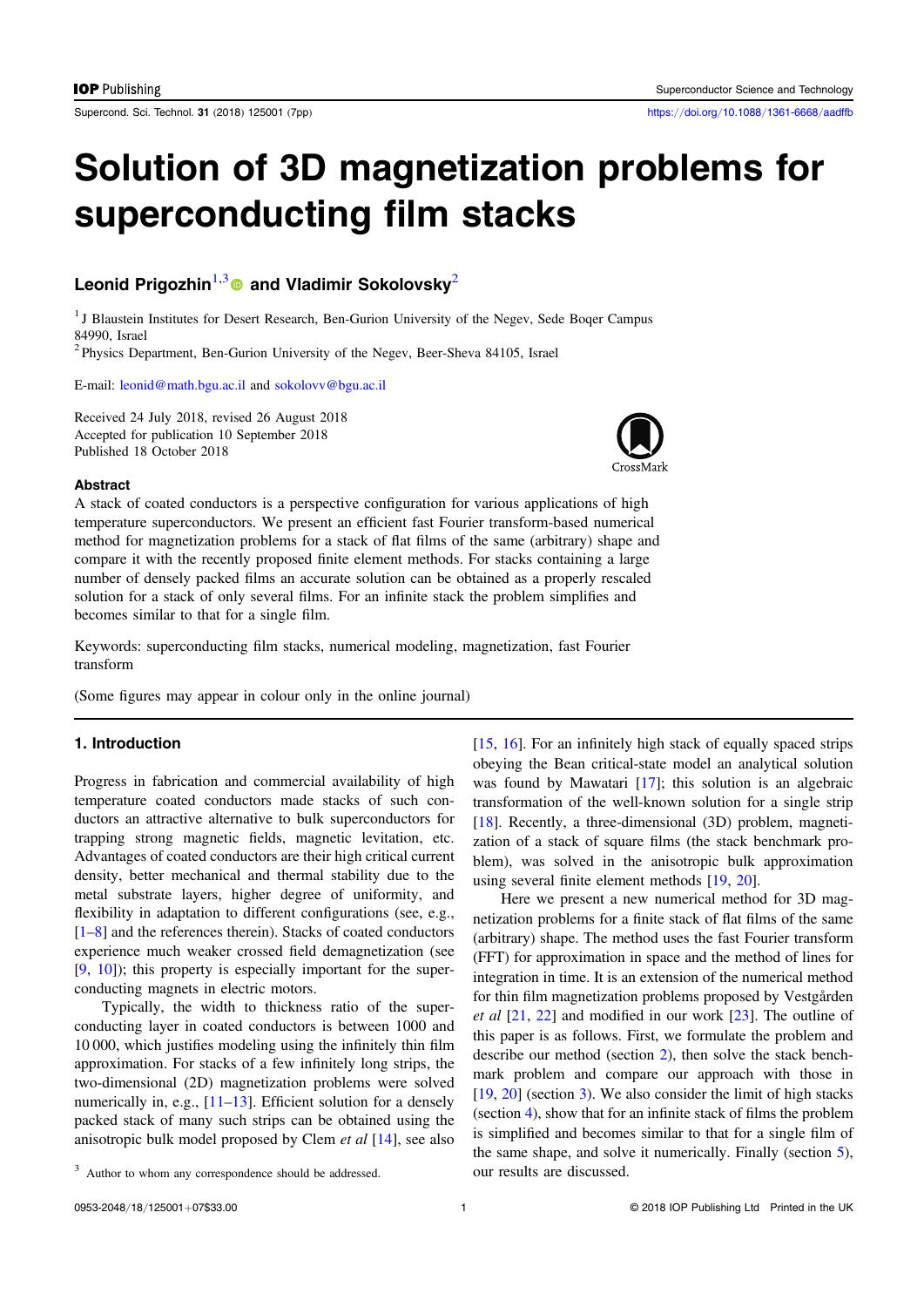Supercond. Sci. Technol. 31 (2018) 125001 (7pp) https://doi.org/10.1088/1361-6668/aadffb

# Solution of 3D magnetization problems for superconducting film stacks

# Leonid Prigozhin<sup>1,3</sup> and Vladimir Sokolovsky<sup>2</sup>

<sup>1</sup> J Blaustein Institutes for Desert Research, Ben-Gurion University of the Negev, Sede Boqer Campus 84990, Israel

<sup>2</sup> Physics Department, Ben-Gurion University of the Negev, Beer-Sheva 84105, Israel

E-mail: leonid@math.bgu.ac.il and sokolovv@bgu.ac.il

Received 24 July 2018, revised 26 August 2018 Accepted for publication 10 September 2018 Published 18 October 2018



#### **Abstract**

A stack of coated conductors is a perspective configuration for various applications of high temperature superconductors. We present an efficient fast Fourier transform-based numerical method for magnetization problems for a stack of flat films of the same (arbitrary) shape and compare it with the recently proposed finite element methods. For stacks containing a large number of densely packed films an accurate solution can be obtained as a properly rescaled solution for a stack of only several films. For an infinite stack the problem simplifies and becomes similar to that for a single film.

Keywords: superconducting film stacks, numerical modeling, magnetization, fast Fourier transform

(Some figures may appear in colour only in the online journal)

# 1. Introduction

Progress in fabrication and commercial availability of high temperature coated conductors made stacks of such conductors an attractive alternative to bulk superconductors for trapping strong magnetic fields, magnetic levitation, etc. Advantages of coated conductors are their high critical current density, better mechanical and thermal stability due to the metal substrate layers, higher degree of uniformity, and flexibility in adaptation to different configurations (see, e.g., [1–8] and the references therein). Stacks of coated conductors experience much weaker crossed field demagnetization (see [9, 10]); this property is especially important for the superconducting magnets in electric motors.

Typically, the width to thickness ratio of the superconducting layer in coated conductors is between 1000 and 10 000, which justifies modeling using the infinitely thin film approximation. For stacks of a few infinitely long strips, the two-dimensional (2D) magnetization problems were solved numerically in, e.g., [11–13]. Efficient solution for a densely packed stack of many such strips can be obtained using the anisotropic bulk model proposed by Clem et al [14], see also [15, 16]. For an infinitely high stack of equally spaced strips obeying the Bean critical-state model an analytical solution was found by Mawatari [17]; this solution is an algebraic transformation of the well-known solution for a single strip [18]. Recently, a three-dimensional (3D) problem, magnetization of a stack of square films (the stack benchmark problem), was solved in the anisotropic bulk approximation using several finite element methods [19, 20].

Here we present a new numerical method for 3D magnetization problems for a finite stack of flat films of the same (arbitrary) shape. The method uses the fast Fourier transform (FFT) for approximation in space and the method of lines for integration in time. It is an extension of the numerical method for thin film magnetization problems proposed by Vestgården et al [21, 22] and modified in our work [23]. The outline of this paper is as follows. First, we formulate the problem and describe our method (section 2), then solve the stack benchmark problem and compare our approach with those in [19, 20] (section 3). We also consider the limit of high stacks (section 4), show that for an infinite stack of films the problem is simplified and becomes similar to that for a single film of the same shape, and solve it numerically. Finally (section 5), our results are discussed.

<sup>&</sup>lt;sup>3</sup> Author to whom any correspondence should be addressed.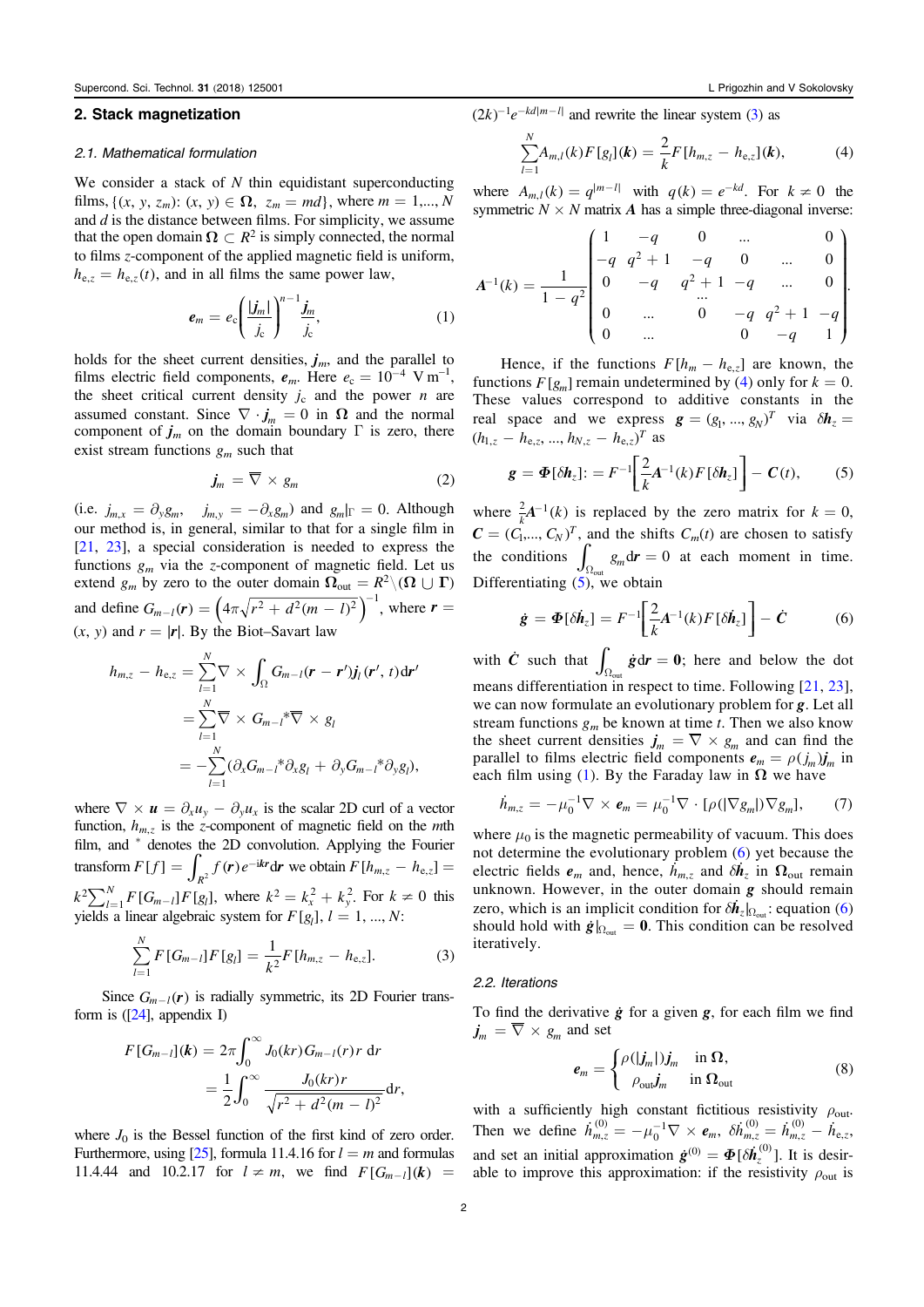### 2. Stack magnetization

#### 2.1. Mathematical formulation

We consider a stack of  $N$  thin equidistant superconducting films,  $\{(x, y, z_m): (x, y) \in \Omega, z_m = md\}$ , where  $m = 1,..., N$ and  $d$  is the distance between films. For simplicity, we assume that the open domain  $\Omega \subset R^2$  is simply connected, the normal to films z-component of the applied magnetic field is uniform,  $h_{e,z} = h_{e,z}(t)$ , and in all films the same power law,

$$
\boldsymbol{e}_m = e_c \left( \frac{|\boldsymbol{j}_m|}{\boldsymbol{j}_c} \right)^{n-1} \frac{\boldsymbol{j}_m}{\boldsymbol{j}_c},\tag{1}
$$

holds for the sheet current densities,  $j_m$ , and the parallel to films electric field components,  $e_m$ . Here  $e_c = 10^{-4}$  V m<sup>-1</sup>, the sheet critical current density *i* and the nower *n* are the sheet critical current density  $j_c$  and the power *n* are assumed constant. Since  $\nabla \cdot \mathbf{j}_m = 0$  in  $\Omega$  and the normal component of  $j_m$  on the domain boundary Γ is zero, there exist stream functions  $g_m$  such that

$$
\dot{\mathbf{j}}_m = \overline{\nabla} \times \mathbf{g}_m \tag{2}
$$

(i.e.  $j_{m,x} = \partial_y g_m$ ,  $j_{m,y} = -\partial_x g_m$ ) and  $g_m|_{\Gamma} = 0$ . Although our method is, in general, similar to that for a single film in [21, 23], a special consideration is needed to express the functions  $g_m$  via the z-component of magnetic field. Let us extend  $g_m$  by zero to the outer domain  $\Omega_{\text{out}} = R^2 \setminus (\Omega \cup \Gamma)$ and define  $G_{m-l}(r) = \left(4\pi\sqrt{r^2 + d^2(m-l)^2}\right)^{-1}$ , where  $r =$  $(x, y)$  and  $r = |r|$ . By the Biot–Savart law

$$
h_{m,z} - h_{e,z} = \sum_{l=1}^{N} \nabla \times \int_{\Omega} G_{m-l}(\mathbf{r} - \mathbf{r}') \mathbf{j}_{l}(\mathbf{r}', t) d\mathbf{r}'
$$
  

$$
= \sum_{l=1}^{N} \nabla \times G_{m-l} \times \nabla \times g_{l}
$$
  

$$
= -\sum_{l=1}^{N} (\partial_{x} G_{m-l} \times \partial_{x} g_{l} + \partial_{y} G_{m-l} \times \partial_{y} g_{l}),
$$

where  $\nabla \times \mathbf{u} = \partial_x u_y - \partial_y u_x$  is the scalar 2D curl of a vector function,  $h_{m}$ <sub>z</sub> is the z-component of magnetic field on the *m*th film, and \* denotes the 2D convolution. Applying the Fourier transform  $F[f] = \int_{R^2} f(\mathbf{r}) e^{-i\mathbf{k}\mathbf{r}} d\mathbf{r}$  $\int_{2}^{2} f(\mathbf{r}) e^{-i\mathbf{k}\mathbf{r}} d\mathbf{r}$  we obtain  $F[h_{m,z} - h_{e,z}] =$  $k^2 \sum_{l=1}^{N} F[G_{m-l}] F[g_l]$ , where  $k^2 = k_x^2 + k_y^2$ . For  $k \neq 0$  this yields a linear algebraic system for  $F[g_l]$ ,  $l = 1, ..., N$ :

$$
\sum_{l=1}^{N} F[G_{m-l}]F[g_l] = \frac{1}{k^2} F[h_{m,z} - h_{e,z}].
$$
 (3)

Since  $G_{m-l}(r)$  is radially symmetric, its 2D Fourier transform is  $([24]$ , appendix I)

$$
F[G_{m-l}](k) = 2\pi \int_0^\infty J_0(kr) G_{m-l}(r) r \, dr
$$
  
=  $\frac{1}{2} \int_0^\infty \frac{J_0(kr)r}{\sqrt{r^2 + d^2(m-l)^2}} dr,$ 

where  $J_0$  is the Bessel function of the first kind of zero order. Furthermore, using [25], formula 11.4.16 for  $l = m$  and formulas 11.4.44 and 10.2.17 for  $l \neq m$ , we find  $F[G_{m-l}](k) =$ 

 $(2k)^{-1}e^{-kd|m-1|}$  and rewrite the linear system (3) as

$$
\sum_{l=1}^{N} A_{m,l}(k) F[g_l](k) = \frac{2}{k} F[h_{m,z} - h_{e,z}](k), \tag{4}
$$

where  $A_{m,l}(k) = q^{|m-l|}$  with  $q(k) = e^{-kd}$ . For  $k \neq 0$  the symmetric  $N \times N$  matrix A has a simple three-diagonal inverse:

$$
A^{-1}(k) = \frac{1}{1 - q^2} \begin{bmatrix} 1 & -q & 0 & \dots & 0 \\ -q & q^2 + 1 & -q & 0 & \dots & 0 \\ 0 & -q & q^2 + 1 & -q & \dots & 0 \\ 0 & \dots & 0 & -q & q^2 + 1 & -q \\ 0 & \dots & 0 & -q & 1 \end{bmatrix}.
$$

Hence, if the functions  $F[h_m - h_{e,z}]$  are known, the functions  $F[g_m]$  remain undetermined by (4) only for  $k = 0$ . These values correspond to additive constants in the real space and we express  $g = (g_1, ..., g_N)^T$  via  $\delta h_z =$  $(h_{1,z} - h_{e,z}, ..., h_{N,z} - h_{e,z})^T$  as

$$
\mathbf{g} = \mathbf{\Phi}[\delta \mathbf{h}_z] = F^{-1} \bigg[ \frac{2}{k} \mathbf{A}^{-1}(k) F[\delta \mathbf{h}_z] \bigg] - \mathbf{C}(t), \quad (5)
$$

where  $\frac{2}{k}A^{-1}(k)$  is replaced by the zero matrix for  $k = 0$ ,  $\mathbf{C} = (C_1, ..., C_N)^T$ , and the shifts  $C_m(t)$  are chosen to satisfy the conditions  $\int_{\Omega_{\text{out}}} g_m \, dr = 0$  at each moment in time. Differentiating  $(5)$ , we obtain

$$
\dot{\mathbf{g}} = \boldsymbol{\Phi}[\delta \dot{\boldsymbol{h}}_z] = F^{-1} \bigg[ \frac{2}{k} A^{-1}(k) F[\delta \dot{\boldsymbol{h}}_z] \bigg] - \dot{\mathbf{C}} \tag{6}
$$

with  $\dot{C}$  such that  $\int_{\Omega_{\text{out}}} \dot{g} dr = 0$ ; here and below the dot means differentiation in respect to time. Following [21, 23], we can now formulate an evolutionary problem for **g**. Let all stream functions  $g_m$  be known at time t. Then we also know the sheet current densities  $j_m = \overline{\nabla} \times g_m$  and can find the parallel to films electric field components  $e_m = \rho(j_m)j_m$  in each film using (1). By the Faraday law in  $\Omega$  we have

$$
\dot{h}_{m,z} = -\mu_0^{-1} \nabla \times \boldsymbol{e}_m = \mu_0^{-1} \nabla \cdot [\rho (|\nabla g_m|) \nabla g_m], \qquad (7)
$$

where  $\mu_0$  is the magnetic permeability of vacuum. This does not determine the evolutionary problem (6) yet because the electric fields  $e_m$  and, hence,  $\hat{h}_{m,z}$  and  $\delta h_z$  in  $\Omega_{\text{out}}$  remain<br>unknown. However, in the outer domain  $\alpha$  should remain unknown. However, in the outer domain  $g$  should remain zero, which is an implicit condition for  $\delta \vec{h}_z |_{\Omega_{\text{out}}}$ : equation (6) should hold with  $\dot{g}|_{\Omega_{\text{out}}} = 0$ . This condition can be resolved iteratively.

#### 2.2. Iterations

To find the derivative  $\dot{g}$  for a given  $g$ , for each film we find  $j_m = \overline{\nabla} \times g_m$  and set

$$
e_m = \begin{cases} \rho(|j_m|)j_m & \text{in } \Omega, \\ \rho_{\text{out}} j_m & \text{in } \Omega_{\text{out}} \end{cases}
$$
 (8)

with a sufficiently high constant fictitious resistivity  $\rho_{\text{out}}$ . Then we define  $\dot{h}_{m,z}^{(0)} = -\mu_0^{-1} \nabla \times \mathbf{e}_m$ ,  $\hat{\mathbf{q}}_0^{-1} \nabla \times \boldsymbol{e}_m$ ,  $\delta \dot{\mathbf{h}}_{m,z}^{(0)} = \dot{\mathbf{h}}_{m,z}^{(0)} - \dot{\mathbf{h}}_{e,z}$ , ,  $\stackrel{(0)}{\stackrel{\smash{0}}{\scriptscriptstyle{0.2}}} - \dot{h}_{\rm e}$ and set an initial approximation  $\dot{\mathbf{g}}^{(0)} = \boldsymbol{\Phi}[\delta \dot{\mathbf{h}}_z^{(0)}]$ . It is desirable to improve this approximation: if the resistivity  $\rho_{\text{out}}$  is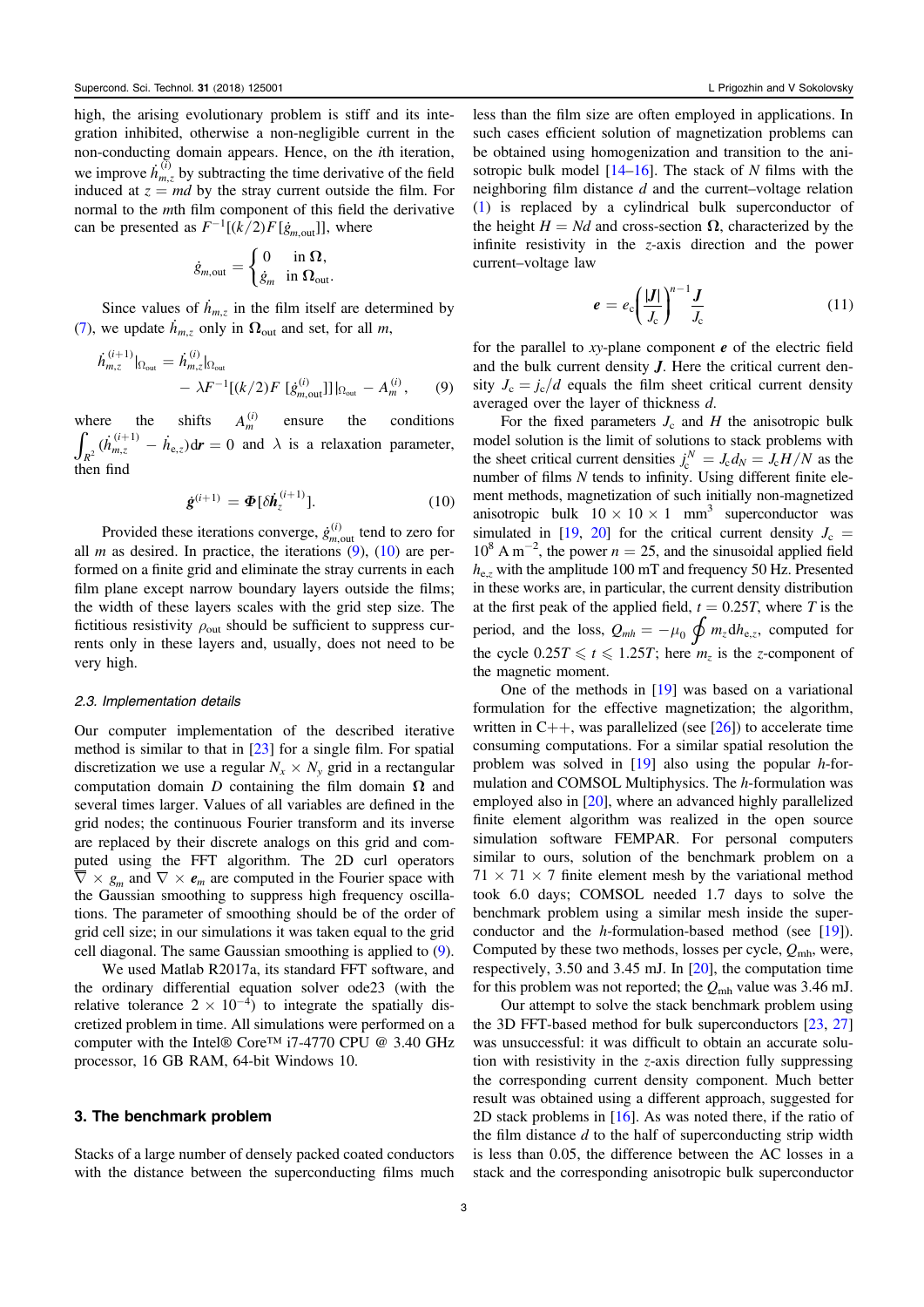high, the arising evolutionary problem is stiff and its integration inhibited, otherwise a non-negligible current in the non-conducting domain appears. Hence, on the ith iteration, we improve  $\dot{h}_{m,z}^{(i)}$  by subtracting the time derivative of the field induced at  $z = md$  by the stray current outside the film. For normal to the mth film component of this field the derivative can be presented as  $F^{-1}[(k/2)F[\dot{g}_{m,out}]]$ , where

$$
\dot{g}_{m,\text{out}} = \begin{cases} 0 & \text{in } \Omega, \\ \dot{g}_m & \text{in } \Omega_{\text{out}}. \end{cases}
$$

Since values of  $\dot{h}_{m,z}$  in the film itself are determined by (7), we update  $\dot{h}_{m,z}$  only in  $\Omega_{\text{out}}$  and set, for all m,

$$
\dot{h}_{m,z}^{(i+1)}|_{\Omega_{\text{out}}} = \dot{h}_{m,z}^{(i)}|_{\Omega_{\text{out}}} \n- \lambda F^{-1}[(k/2)F [\dot{g}_{m,\text{out}}^{(i)}]]|_{\Omega_{\text{out}}} - A_m^{(i)}, \qquad (9)
$$

where the shifts  $A_m^{(i)}$  ensure the conditions  $\int_{R^2} (h_{m,z}^{(i+1)} - h_{e,z}) dr = 0$  $\dot{h}_{m,z}^{(i+1)} - \dot{h}_{e,z} d\mathbf{r} = 0$  and  $\lambda$  is a relaxation parameter, then find

$$
\dot{\mathbf{g}}^{(i+1)} = \boldsymbol{\Phi}[\delta \dot{\boldsymbol{h}}_z^{(i+1)}]. \tag{10}
$$

Provided these iterations converge,  $\dot{g}_{m, \text{out}}^{(i)}$  tend to zero for all *m* as desired. In practice, the iterations  $(9)$ ,  $(10)$  are performed on a finite grid and eliminate the stray currents in each film plane except narrow boundary layers outside the films; the width of these layers scales with the grid step size. The fictitious resistivity  $\rho_{\text{out}}$  should be sufficient to suppress currents only in these layers and, usually, does not need to be very high.

#### 2.3. Implementation details

Our computer implementation of the described iterative method is similar to that in  $[23]$  for a single film. For spatial discretization we use a regular  $N_x \times N_y$  grid in a rectangular computation domain D containing the film domain  $\Omega$  and several times larger. Values of all variables are defined in the grid nodes; the continuous Fourier transform and its inverse are replaced by their discrete analogs on this grid and computed using the FFT algorithm. The 2D curl operators  $\overline{\nabla} \times g_m$  and  $\nabla \times e_m$  are computed in the Fourier space with the Gaussian smoothing to suppress high frequency oscillations. The parameter of smoothing should be of the order of grid cell size; in our simulations it was taken equal to the grid cell diagonal. The same Gaussian smoothing is applied to (9).

We used Matlab R2017a, its standard FFT software, and the ordinary differential equation solver ode23 (with the relative tolerance  $2 \times 10^{-4}$  to integrate the spatially discretized problem in time. All simulations were performed on a computer with the Intel® Core™ i7-4770 CPU @ 3.40 GHz processor, 16 GB RAM, 64-bit Windows 10.

# 3. The benchmark problem

Stacks of a large number of densely packed coated conductors with the distance between the superconducting films much less than the film size are often employed in applications. In such cases efficient solution of magnetization problems can be obtained using homogenization and transition to the anisotropic bulk model  $[14–16]$ . The stack of N films with the neighboring film distance d and the current–voltage relation (1) is replaced by a cylindrical bulk superconductor of the height  $H = Nd$  and cross-section  $\Omega$ , characterized by the infinite resistivity in the z-axis direction and the power current–voltage law

$$
e = e_c \left(\frac{|J|}{J_c}\right)^{n-1} \frac{J}{J_c} \tag{11}
$$

for the parallel to  $xy$ -plane component  $e$  of the electric field and the bulk current density J. Here the critical current density  $J_c = j_c/d$  equals the film sheet critical current density averaged over the layer of thickness d.

For the fixed parameters  $J_c$  and H the anisotropic bulk model solution is the limit of solutions to stack problems with the sheet critical current densities  $j_c^N = J_c d_N = J_c H/N$  as the number of films  $N$  tends to infinity. Using different finite element methods, magnetization of such initially non-magnetized anisotropic bulk  $10 \times 10 \times 1$  mm<sup>3</sup> superconductor was simulated in [19, 20] for the critical current density  $J_c$  =  $10^8$  A m<sup>-2</sup>, the power  $n = 25$ , and the sinusoidal applied field  $h_{\text{e}z}$  with the amplitude 100 mT and frequency 50 Hz. Presented in these works are, in particular, the current density distribution at the first peak of the applied field,  $t = 0.25T$ , where T is the period, and the loss,  $Q_{mh} = -\mu_0 \oint m_z dh_{e,z}$ , computed for the cycle  $0.25T \le t \le 1.25T$ ; here  $m_z$  is the z-component of the magnetic moment.

One of the methods in [19] was based on a variational formulation for the effective magnetization; the algorithm, written in  $C++$ , was parallelized (see [26]) to accelerate time consuming computations. For a similar spatial resolution the problem was solved in  $[19]$  also using the popular h-formulation and COMSOL Multiphysics. The h-formulation was employed also in [20], where an advanced highly parallelized finite element algorithm was realized in the open source simulation software FEMPAR. For personal computers similar to ours, solution of the benchmark problem on a  $71 \times 71 \times 7$  finite element mesh by the variational method took 6.0 days; COMSOL needed 1.7 days to solve the benchmark problem using a similar mesh inside the superconductor and the h-formulation-based method (see [19]). Computed by these two methods, losses per cycle,  $Q_{\text{mh}}$ , were, respectively, 3.50 and 3.45 mJ. In [20], the computation time for this problem was not reported; the  $Q_{mh}$  value was 3.46 mJ.

Our attempt to solve the stack benchmark problem using the 3D FFT-based method for bulk superconductors [23, 27] was unsuccessful: it was difficult to obtain an accurate solution with resistivity in the z-axis direction fully suppressing the corresponding current density component. Much better result was obtained using a different approach, suggested for 2D stack problems in [16]. As was noted there, if the ratio of the film distance  $d$  to the half of superconducting strip width is less than 0.05, the difference between the AC losses in a stack and the corresponding anisotropic bulk superconductor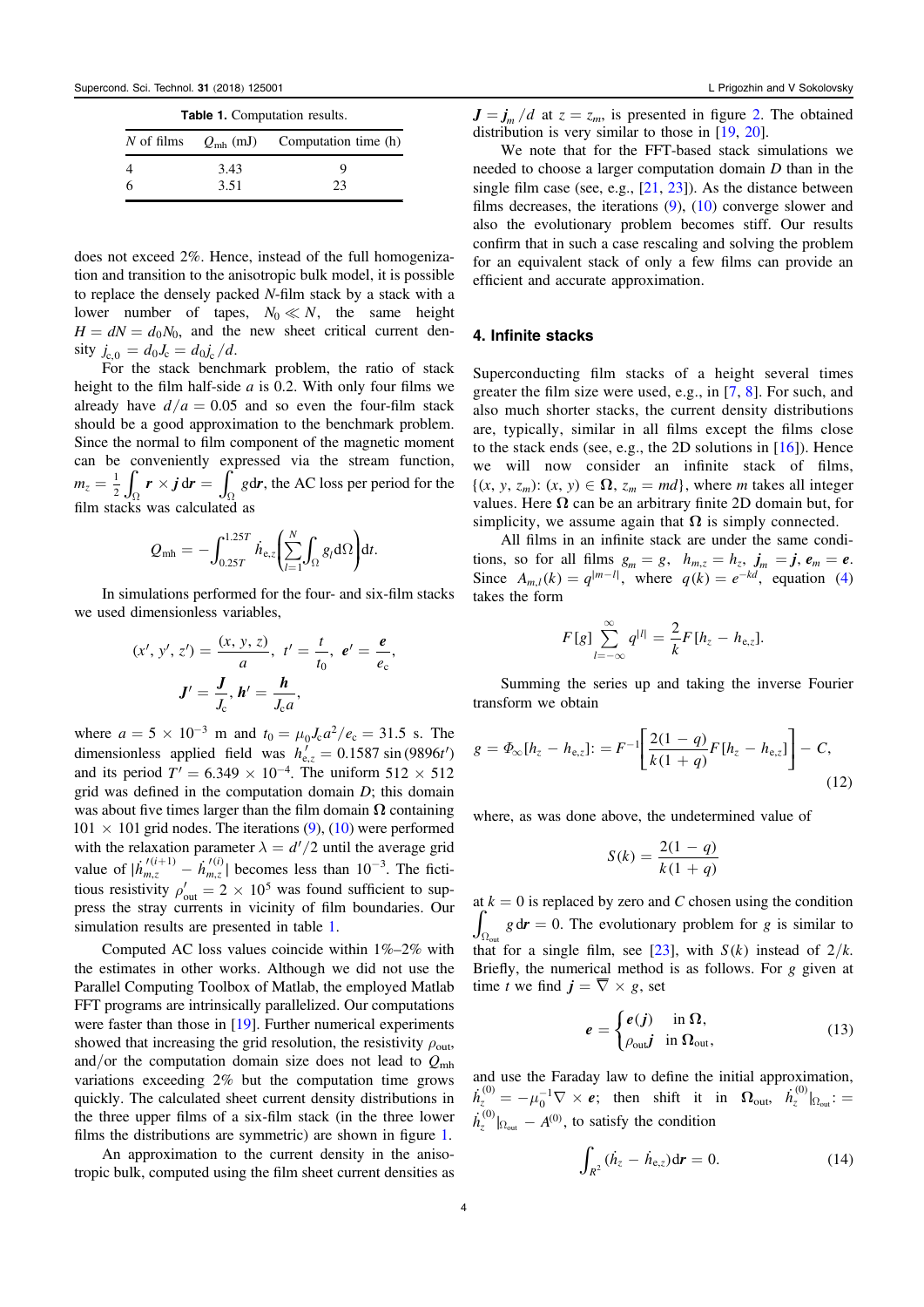| <b>Table 1.</b> Computation results. |      |                                        |
|--------------------------------------|------|----------------------------------------|
| $N$ of films                         |      | $Q_{\rm mh}$ (mJ) Computation time (h) |
|                                      | 3.43 | Q,                                     |
|                                      | 3.51 | 23                                     |

does not exceed 2%. Hence, instead of the full homogenization and transition to the anisotropic bulk model, it is possible to replace the densely packed N-film stack by a stack with a lower number of tapes,  $N_0 \ll N$ , the same height  $H = dN = d_0N_0$ , and the new sheet critical current density  $j_{c,0} = d_0 J_c = d_0 j_c / d$ .

For the stack benchmark problem, the ratio of stack height to the film half-side  $a$  is 0.2. With only four films we already have  $d/a = 0.05$  and so even the four-film stack should be a good approximation to the benchmark problem. Since the normal to film component of the magnetic moment can be conveniently expressed via the stream function,  $m_z = \frac{1}{2} \int_{\Omega} \mathbf{r} \times \mathbf{j} \, d\mathbf{r} = \int_{\Omega} g \, d\mathbf{r}$ , the AC loss per period for the film stacks was calculated as

$$
Q_{\rm mh} = -\int_{0.25T}^{1.25T} \dot{h}_{\rm e,z} \left( \sum_{l=1}^{N} \int_{\Omega} g_{l} d\Omega \right) dt.
$$

In simulations performed for the four- and six-film stacks we used dimensionless variables,

$$
(x', y', z') = \frac{(x, y, z)}{a}, t' = \frac{t}{t_0}, e' = \frac{e}{e_c},
$$
  
 $J' = \frac{J}{J_c}, h' = \frac{h}{J_c a},$ 

where  $a = 5 \times 10^{-3}$  m and  $t_0 = \mu_0 J_c a^2 / e_c = 31.5$  s. The dimensionless applied field was  $h'_{e,z} = 0.1587 \sin(9896t')$ and its period  $T' = 6.349 \times 10^{-4}$ . The uniform  $512 \times 512$ grid was defined in the computation domain  $D$ ; this domain was about five times larger than the film domain  $\Omega$  containing  $101 \times 101$  grid nodes. The iterations (9), (10) were performed with the relaxation parameter  $\lambda = d'/2$  until the average grid value of  $|\dot{h}_{m,z}^{\prime(i+1)} - \dot{h}_{m,z}^{\prime(i)}|$ *m z i* ,  $\hat{h}_{m,z}^{(i)}$  becomes less than 10<sup>-3</sup>. The fictitious resistivity  $\rho'_{\text{out}} = 2 \times 10^5$  was found sufficient to suppress the stray currents in vicinity of film boundaries. Our simulation results are presented in table 1.

Computed AC loss values coincide within 1%–2% with the estimates in other works. Although we did not use the Parallel Computing Toolbox of Matlab, the employed Matlab FFT programs are intrinsically parallelized. Our computations were faster than those in [19]. Further numerical experiments showed that increasing the grid resolution, the resistivity  $\rho_{\text{out}}$ , and/or the computation domain size does not lead to  $Q_{\text{mh}}$ variations exceeding 2% but the computation time grows quickly. The calculated sheet current density distributions in the three upper films of a six-film stack (in the three lower films the distributions are symmetric) are shown in figure 1.

An approximation to the current density in the anisotropic bulk, computed using the film sheet current densities as  $J = j_m / d$  at  $z = z_m$ , is presented in figure 2. The obtained distribution is very similar to those in [19, 20].

We note that for the FFT-based stack simulations we needed to choose a larger computation domain D than in the single film case (see, e.g.,  $[21, 23]$ ). As the distance between films decreases, the iterations  $(9)$ ,  $(10)$  converge slower and also the evolutionary problem becomes stiff. Our results confirm that in such a case rescaling and solving the problem for an equivalent stack of only a few films can provide an efficient and accurate approximation.

#### 4. Infinite stacks

Superconducting film stacks of a height several times greater the film size were used, e.g., in [7, 8]. For such, and also much shorter stacks, the current density distributions are, typically, similar in all films except the films close to the stack ends (see, e.g., the 2D solutions in [16]). Hence we will now consider an infinite stack of films,  $\{(x, y, z_m): (x, y) \in \Omega, z_m = md\}$ , where m takes all integer values. Here  $\Omega$  can be an arbitrary finite 2D domain but, for simplicity, we assume again that  $\Omega$  is simply connected.

All films in an infinite stack are under the same conditions, so for all films  $g_m = g$ ,  $h_{m,z} = h_z$ ,  $j_m = j$ ,  $e_m = e$ . Since  $A_{m,l}(k) = q^{|m-l|}$ , where  $q(k) = e^{-kd}$ , equation (4) takes the form

$$
F[g] \sum_{l=-\infty}^{\infty} q^{|l|} = \frac{2}{k} F[h_z - h_{e,z}].
$$

Summing the series up and taking the inverse Fourier transform we obtain

$$
g = \Phi_{\infty}[h_z - h_{e,z}] = F^{-1} \left[ \frac{2(1-q)}{k(1+q)} F[h_z - h_{e,z}] \right] - C,
$$
\n(12)

where, as was done above, the undetermined value of

$$
S(k) = \frac{2(1-q)}{k(1+q)}
$$

at  $k = 0$  is replaced by zero and C chosen using the condition  $\int_{\Omega_{\text{out}}} g \, d\mathbf{r} = 0$ . The evolutionary problem for g is similar to that for a single film, see [23], with  $S(k)$  instead of  $2/k$ . Briefly, the numerical method is as follows. For g given at time t we find  $j = \overline{\nabla} \times g$ , set

$$
e = \begin{cases} e(j) & \text{in } \Omega, \\ \rho_{\text{out}} j & \text{in } \Omega_{\text{out}}, \end{cases}
$$
 (13)

and use the Faraday law to define the initial approximation,  $\dot{h}^{(0)}_z = - \mu_0^{-1} \nabla \times \boldsymbol{e};$  $0_0^{-1}\nabla \times \boldsymbol{e}$ ; then shift it in  $\Omega_{\text{out}}$ ,  $\dot{h}_z^{(0)}|_{\Omega_{\text{out}}}$ : = out  $\dot{h}_z^{(0)}|_{\Omega_{\text{out}}} - A^{(0)}$ , to satisfy the condition

$$
\int_{R^2} (\dot{h}_z - \dot{h}_{e,z}) dr = 0.
$$
 (14)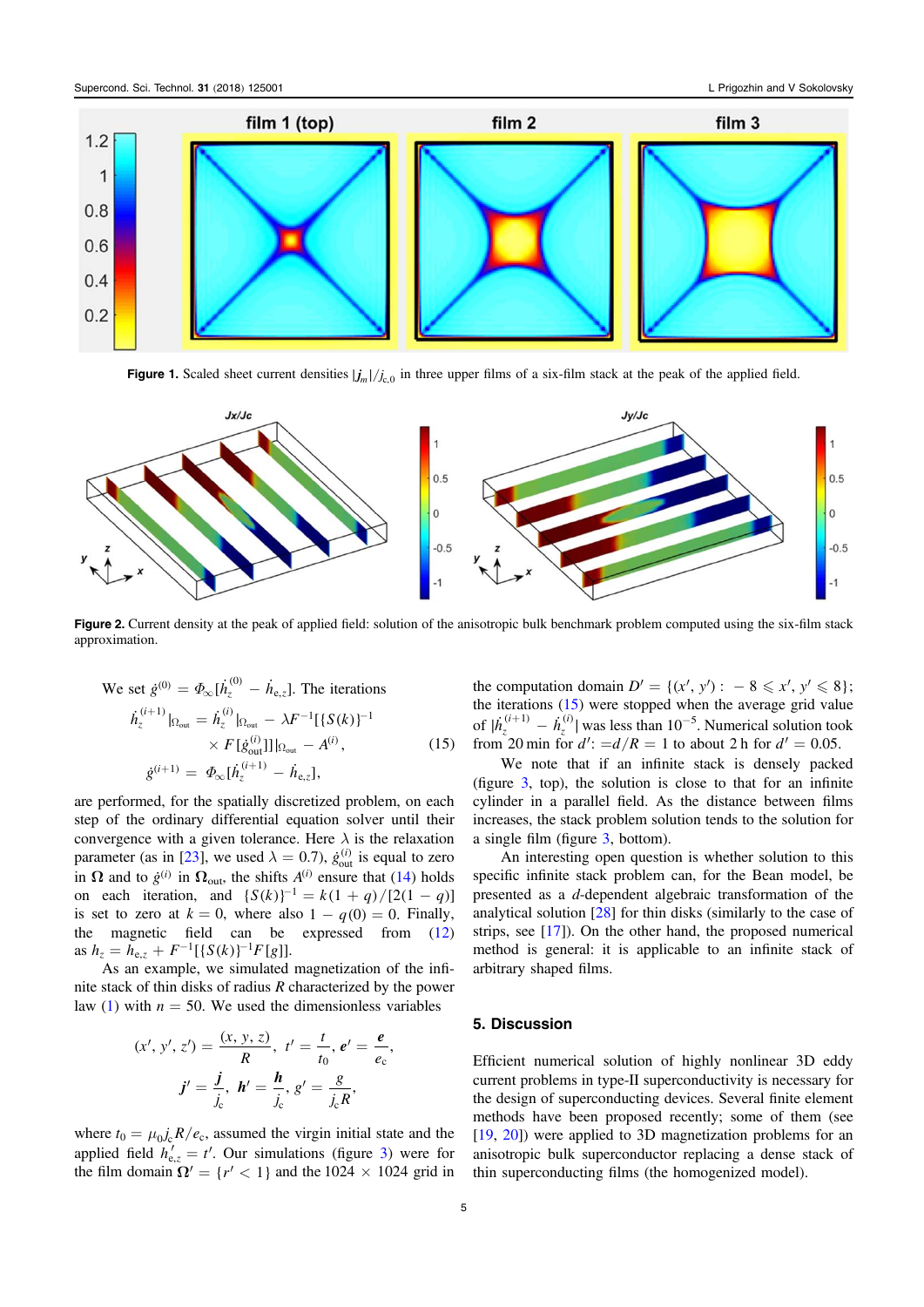

**Figure 1.** Scaled sheet current densities  $|j_m|/j_c$  in three upper films of a six-film stack at the peak of the applied field.



Figure 2. Current density at the peak of applied field: solution of the anisotropic bulk benchmark problem computed using the six-film stack approximation.

We set 
$$
\dot{g}^{(0)} = \Phi_{\infty}[\dot{h}_z^{(0)} - \dot{h}_{e,z}]
$$
. The iterations  
\n
$$
\begin{aligned}\n\dot{h}_z^{(i+1)}|_{\Omega_{\text{out}}} &= \dot{h}_z^{(i)}|_{\Omega_{\text{out}}} - \lambda F^{-1}[\{S(k)\}^{-1} \\
&\times F[\dot{g}_{\text{out}}^{(i)}]]|_{\Omega_{\text{out}}} - A^{(i)}, \\
\dot{g}^{(i+1)} &= \Phi_{\infty}[\dot{h}_z^{(i+1)} - \dot{h}_{e,z}],\n\end{aligned}
$$
\n(15)

are performed, for the spatially discretized problem, on each step of the ordinary differential equation solver until their convergence with a given tolerance. Here  $\lambda$  is the relaxation parameter (as in [23], we used  $\lambda = 0.7$ ),  $\dot{g}_{out}^{(i)}$  is equal to zero in  $\Omega$  and to  $\dot{g}^{(i)}$  in  $\Omega_{\text{out}}$ , the shifts  $A^{(i)}$  ensure that (14) holds on each iteration, and  $\{S(k)\}^{-1} = k(1 + q) / [2(1 - q)]$ is set to zero at  $k = 0$ , where also  $1 - q(0) = 0$ . Finally, the magnetic field can be expressed from (12) as  $h_z = h_{e,z} + F^{-1}[\{S(k)\}^{-1}F[g]].$ 

As an example, we simulated magnetization of the infinite stack of thin disks of radius R characterized by the power law (1) with  $n = 50$ . We used the dimensionless variables

$$
(x', y', z') = \frac{(x, y, z)}{R}, t' = \frac{t}{t_0}, e' = \frac{e}{e_c},
$$

$$
j' = \frac{j}{j_c}, h' = \frac{h}{j_c}, g' = \frac{g}{j_c R},
$$

where  $t_0 = \mu_0 j_c R / e_c$ , assumed the virgin initial state and the applied field  $h'_{\text{e}z} = t'$ . Our simulations (figure 3) were for the film domain  $\Omega' = \{ r' < 1 \}$  and the 1024  $\times$  1024 grid in the computation domain  $D' = \{ (x', y') : -8 \le x', y' \le 8 \};$ the iterations (15) were stopped when the average grid value of  $|\dot{h}_z^{(i+1)} - \dot{h}_z^{(i)}|$ <sup>1)</sup>  $- h_z^{(i)}$  was less than 10<sup>-5</sup>. Numerical solution took from 20 min for  $d'$ :  $=d/R = 1$  to about 2 h for  $d' = 0.05$ .

We note that if an infinite stack is densely packed (figure 3, top), the solution is close to that for an infinite cylinder in a parallel field. As the distance between films increases, the stack problem solution tends to the solution for a single film (figure 3, bottom).

An interesting open question is whether solution to this specific infinite stack problem can, for the Bean model, be presented as a d-dependent algebraic transformation of the analytical solution [28] for thin disks (similarly to the case of strips, see [17]). On the other hand, the proposed numerical method is general: it is applicable to an infinite stack of arbitrary shaped films.

#### 5. Discussion

Efficient numerical solution of highly nonlinear 3D eddy current problems in type-II superconductivity is necessary for the design of superconducting devices. Several finite element methods have been proposed recently; some of them (see [19, 20]) were applied to 3D magnetization problems for an anisotropic bulk superconductor replacing a dense stack of thin superconducting films (the homogenized model).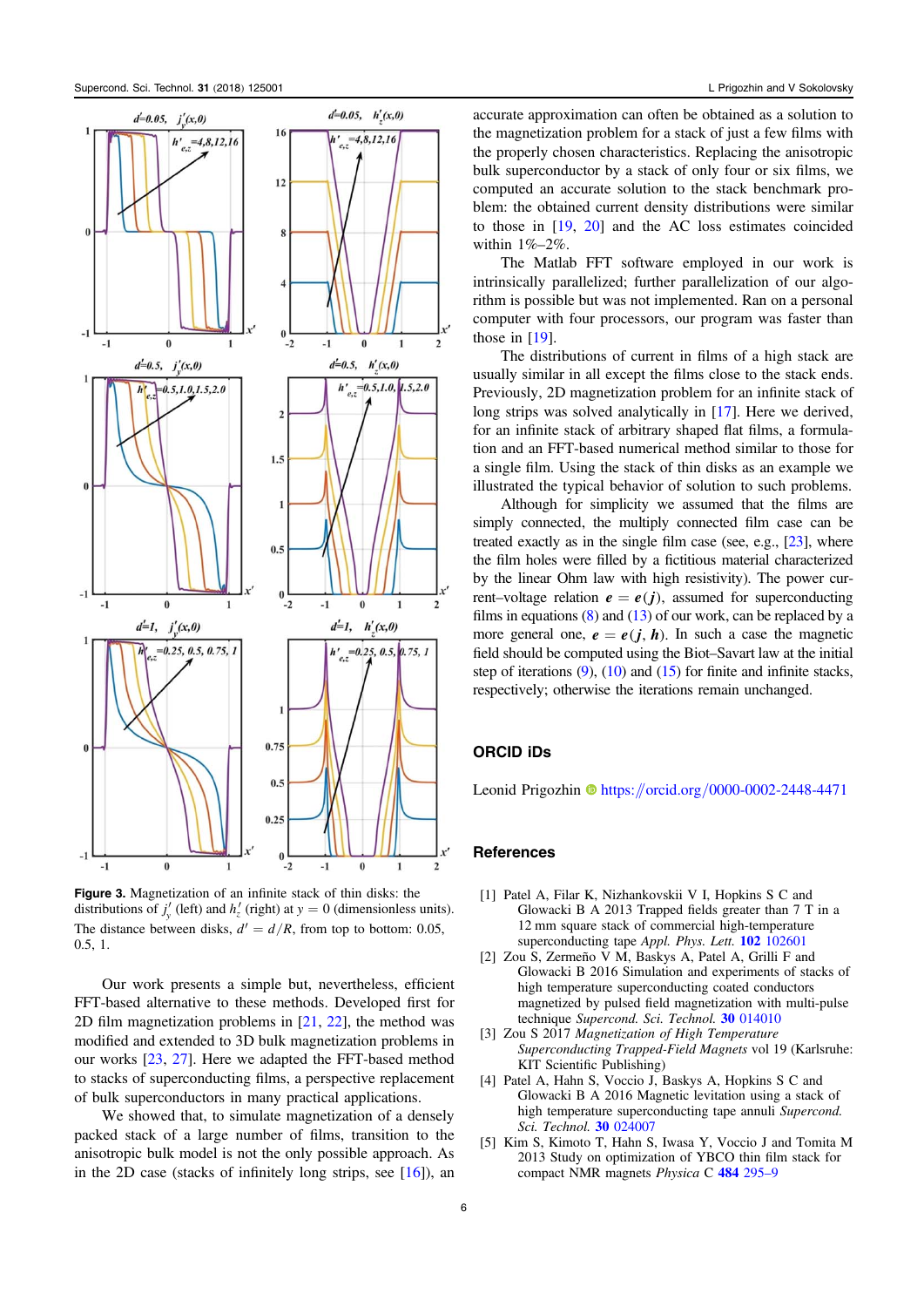

Figure 3. Magnetization of an infinite stack of thin disks: the distributions of  $j'_{y}$  (left) and  $h'_{z}$  (right) at  $y = 0$  (dimensionless units). The distance between disks,  $d' = d/R$ , from top to bottom: 0.05, 0.5, 1.

Our work presents a simple but, nevertheless, efficient FFT-based alternative to these methods. Developed first for 2D film magnetization problems in [21, 22], the method was modified and extended to 3D bulk magnetization problems in our works [23, 27]. Here we adapted the FFT-based method to stacks of superconducting films, a perspective replacement of bulk superconductors in many practical applications.

We showed that, to simulate magnetization of a densely packed stack of a large number of films, transition to the anisotropic bulk model is not the only possible approach. As in the 2D case (stacks of infinitely long strips, see  $[16]$ ), an accurate approximation can often be obtained as a solution to the magnetization problem for a stack of just a few films with the properly chosen characteristics. Replacing the anisotropic bulk superconductor by a stack of only four or six films, we computed an accurate solution to the stack benchmark problem: the obtained current density distributions were similar to those in [19, 20] and the AC loss estimates coincided within 1%–2%.

The Matlab FFT software employed in our work is intrinsically parallelized; further parallelization of our algorithm is possible but was not implemented. Ran on a personal computer with four processors, our program was faster than those in  $[19]$ .

The distributions of current in films of a high stack are usually similar in all except the films close to the stack ends. Previously, 2D magnetization problem for an infinite stack of long strips was solved analytically in [17]. Here we derived, for an infinite stack of arbitrary shaped flat films, a formulation and an FFT-based numerical method similar to those for a single film. Using the stack of thin disks as an example we illustrated the typical behavior of solution to such problems.

Although for simplicity we assumed that the films are simply connected, the multiply connected film case can be treated exactly as in the single film case (see, e.g., [23], where the film holes were filled by a fictitious material characterized by the linear Ohm law with high resistivity). The power current–voltage relation  $e = e(j)$ , assumed for superconducting films in equations  $(8)$  and  $(13)$  of our work, can be replaced by a more general one,  $e = e(j, h)$ . In such a case the magnetic field should be computed using the Biot–Savart law at the initial step of iterations  $(9)$ ,  $(10)$  and  $(15)$  for finite and infinite stacks, respectively; otherwise the iterations remain unchanged.

# ORCID iDs

Leonid Prigozhin  $\bullet$  https://orcid.org/0000-0002-2448-4471

#### References

- [1] Patel A, Filar K, Nizhankovskii V I, Hopkins S C and Glowacki B A 2013 Trapped fields greater than 7 T in a 12 mm square stack of commercial high-temperature superconducting tape Appl. Phys. Lett. **102** 102601
- [2] Zou S, Zermeño V M, Baskys A, Patel A, Grilli F and Glowacki B 2016 Simulation and experiments of stacks of high temperature superconducting coated conductors magnetized by pulsed field magnetization with multi-pulse technique Supercond. Sci. Technol. 30 014010
- [3] Zou S 2017 Magnetization of High Temperature Superconducting Trapped-Field Magnets vol 19 (Karlsruhe: KIT Scientific Publishing)
- [4] Patel A, Hahn S, Voccio J, Baskys A, Hopkins S C and Glowacki B A 2016 Magnetic levitation using a stack of high temperature superconducting tape annuli Supercond. Sci. Technol. 30 024007
- [5] Kim S, Kimoto T, Hahn S, Iwasa Y, Voccio J and Tomita M 2013 Study on optimization of YBCO thin film stack for compact NMR magnets Physica C 484 295–9